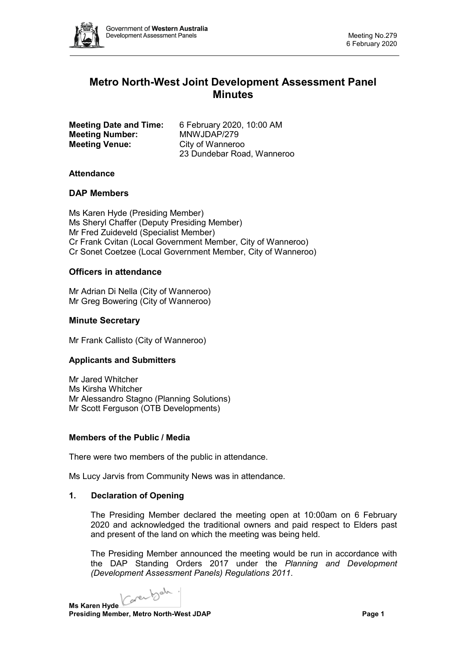

# **Metro North-West Joint Development Assessment Panel Minutes**

|                       | <b>Meeting Date and Time:</b> |
|-----------------------|-------------------------------|
|                       | <b>Meeting Number:</b>        |
| <b>Meeting Venue:</b> |                               |

**Meeting Date and Time:** 6 February 2020, 10:00 AM **Meeting Number:** MNWJDAP/279 **City of Wanneroo** 23 Dundebar Road, Wanneroo

# **Attendance**

# **DAP Members**

Ms Karen Hyde (Presiding Member) Ms Sheryl Chaffer (Deputy Presiding Member) Mr Fred Zuideveld (Specialist Member) Cr Frank Cvitan (Local Government Member, City of Wanneroo) Cr Sonet Coetzee (Local Government Member, City of Wanneroo)

# **Officers in attendance**

Mr Adrian Di Nella (City of Wanneroo) Mr Greg Bowering (City of Wanneroo)

# **Minute Secretary**

Mr Frank Callisto (City of Wanneroo)

#### **Applicants and Submitters**

Mr Jared Whitcher Ms Kirsha Whitcher Mr Alessandro Stagno (Planning Solutions) Mr Scott Ferguson (OTB Developments)

#### **Members of the Public / Media**

There were two members of the public in attendance.

Ms Lucy Jarvis from Community News was in attendance.

#### **1. Declaration of Opening**

The Presiding Member declared the meeting open at 10:00am on 6 February 2020 and acknowledged the traditional owners and paid respect to Elders past and present of the land on which the meeting was being held.

The Presiding Member announced the meeting would be run in accordance with the DAP Standing Orders 2017 under the *Planning and Development (Development Assessment Panels) Regulations 2011*.

Coverbale. **Ms Karen Hyde**

**Presiding Member, Metro North-West JDAP Page 1**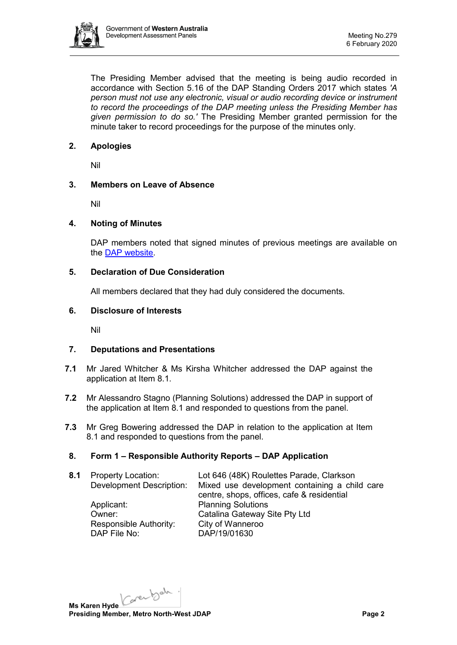

The Presiding Member advised that the meeting is being audio recorded in accordance with Section 5.16 of the DAP Standing Orders 2017 which states *'A person must not use any electronic, visual or audio recording device or instrument to record the proceedings of the DAP meeting unless the Presiding Member has given permission to do so.'* The Presiding Member granted permission for the minute taker to record proceedings for the purpose of the minutes only.

# **2. Apologies**

Nil

# **3. Members on Leave of Absence**

Nil

# **4. Noting of Minutes**

DAP members noted that signed minutes of previous meetings are available on the [DAP website.](https://www.dplh.wa.gov.au/about/development-assessment-panels/daps-agendas-and-minutes)

# **5. Declaration of Due Consideration**

All members declared that they had duly considered the documents.

# **6. Disclosure of Interests**

Nil

# **7. Deputations and Presentations**

- **7.1** Mr Jared Whitcher & Ms Kirsha Whitcher addressed the DAP against the application at Item 8.1.
- **7.2** Mr Alessandro Stagno (Planning Solutions) addressed the DAP in support of the application at Item 8.1 and responded to questions from the panel.
- **7.3** Mr Greg Bowering addressed the DAP in relation to the application at Item 8.1 and responded to questions from the panel.

# **8. Form 1 – Responsible Authority Reports – DAP Application**

**8.1** Property Location: Lot 646 (48K) Roulettes Parade, Clarkson

Applicant: Planning Solutions Responsible Authority:<br>DAP File No:

Development Description: Mixed use development containing a child care centre, shops, offices, cafe & residential Owner: Catalina Gateway Site Pty Ltd<br>
Responsible Authority: City of Wanneroo DAP/19/01630

Karenbah. **Ms Karen Hyde Presiding Member, Metro North-West JDAP Page 2**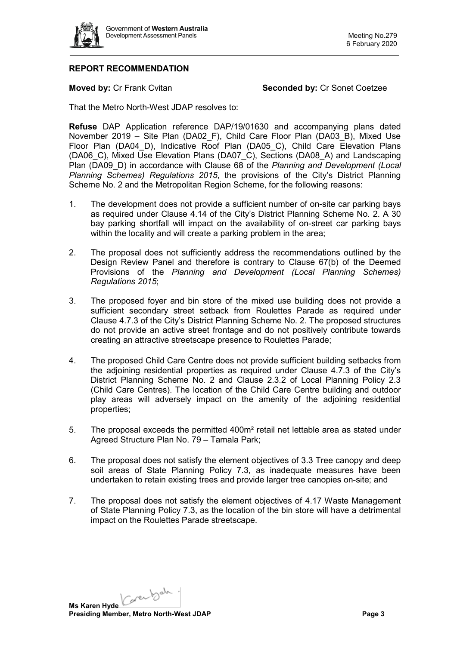

# **REPORT RECOMMENDATION**

**Moved by: Cr Frank Cvitan <b>Seconded by:** Cr Sonet Coetzee

That the Metro North-West JDAP resolves to:

**Refuse** DAP Application reference DAP/19/01630 and accompanying plans dated November 2019 – Site Plan (DA02\_F), Child Care Floor Plan (DA03\_B), Mixed Use Floor Plan (DA04\_D), Indicative Roof Plan (DA05\_C), Child Care Elevation Plans (DA06\_C), Mixed Use Elevation Plans (DA07\_C), Sections (DA08\_A) and Landscaping Plan (DA09\_D) in accordance with Clause 68 of the *Planning and Development (Local Planning Schemes) Regulations 2015*, the provisions of the City's District Planning Scheme No. 2 and the Metropolitan Region Scheme, for the following reasons:

- 1. The development does not provide a sufficient number of on-site car parking bays as required under Clause 4.14 of the City's District Planning Scheme No. 2. A 30 bay parking shortfall will impact on the availability of on-street car parking bays within the locality and will create a parking problem in the area;
- 2. The proposal does not sufficiently address the recommendations outlined by the Design Review Panel and therefore is contrary to Clause 67(b) of the Deemed Provisions of the *Planning and Development (Local Planning Schemes) Regulations 2015*;
- 3. The proposed foyer and bin store of the mixed use building does not provide a sufficient secondary street setback from Roulettes Parade as required under Clause 4.7.3 of the City's District Planning Scheme No. 2. The proposed structures do not provide an active street frontage and do not positively contribute towards creating an attractive streetscape presence to Roulettes Parade;
- 4. The proposed Child Care Centre does not provide sufficient building setbacks from the adjoining residential properties as required under Clause 4.7.3 of the City's District Planning Scheme No. 2 and Clause 2.3.2 of Local Planning Policy 2.3 (Child Care Centres). The location of the Child Care Centre building and outdoor play areas will adversely impact on the amenity of the adjoining residential properties;
- 5. The proposal exceeds the permitted 400m² retail net lettable area as stated under Agreed Structure Plan No. 79 – Tamala Park;
- 6. The proposal does not satisfy the element objectives of 3.3 Tree canopy and deep soil areas of State Planning Policy 7.3, as inadequate measures have been undertaken to retain existing trees and provide larger tree canopies on-site; and
- 7. The proposal does not satisfy the element objectives of 4.17 Waste Management of State Planning Policy 7.3, as the location of the bin store will have a detrimental impact on the Roulettes Parade streetscape.

Karenbah. **Ms Karen Hyde Presiding Member, Metro North-West JDAP Page 3**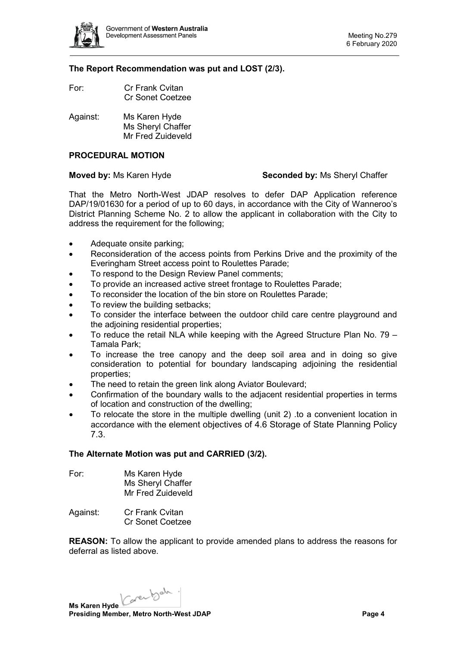

#### **The Report Recommendation was put and LOST (2/3).**

- For: Cr Frank Cvitan Cr Sonet Coetzee
- Against: Ms Karen Hyde Ms Sheryl Chaffer Mr Fred Zuideveld

# **PROCEDURAL MOTION**

# **Moved by:** Ms Karen Hyde **Seconded by:** Ms Sheryl Chaffer

That the Metro North-West JDAP resolves to defer DAP Application reference DAP/19/01630 for a period of up to 60 days, in accordance with the City of Wanneroo's District Planning Scheme No. 2 to allow the applicant in collaboration with the City to address the requirement for the following;

- Adequate onsite parking;
- Reconsideration of the access points from Perkins Drive and the proximity of the Everingham Street access point to Roulettes Parade;
- To respond to the Design Review Panel comments;
- To provide an increased active street frontage to Roulettes Parade;
- To reconsider the location of the bin store on Roulettes Parade;
- To review the building setbacks:
- To consider the interface between the outdoor child care centre playground and the adjoining residential properties;
- To reduce the retail NLA while keeping with the Agreed Structure Plan No. 79 Tamala Park;
- To increase the tree canopy and the deep soil area and in doing so give consideration to potential for boundary landscaping adjoining the residential properties;
- The need to retain the green link along Aviator Boulevard;
- Confirmation of the boundary walls to the adjacent residential properties in terms of location and construction of the dwelling;
- To relocate the store in the multiple dwelling (unit 2) .to a convenient location in accordance with the element objectives of 4.6 Storage of State Planning Policy 7.3.

#### **The Alternate Motion was put and CARRIED (3/2).**

| For: | Ms Karen Hyde     |
|------|-------------------|
|      | Ms Sheryl Chaffer |
|      | Mr Fred Zuideveld |

Against: Cr Frank Cvitan Cr Sonet Coetzee

**REASON:** To allow the applicant to provide amended plans to address the reasons for deferral as listed above.

Karenbah. **Ms Karen Hyde Presiding Member, Metro North-West JDAP Page 4 Page 4**